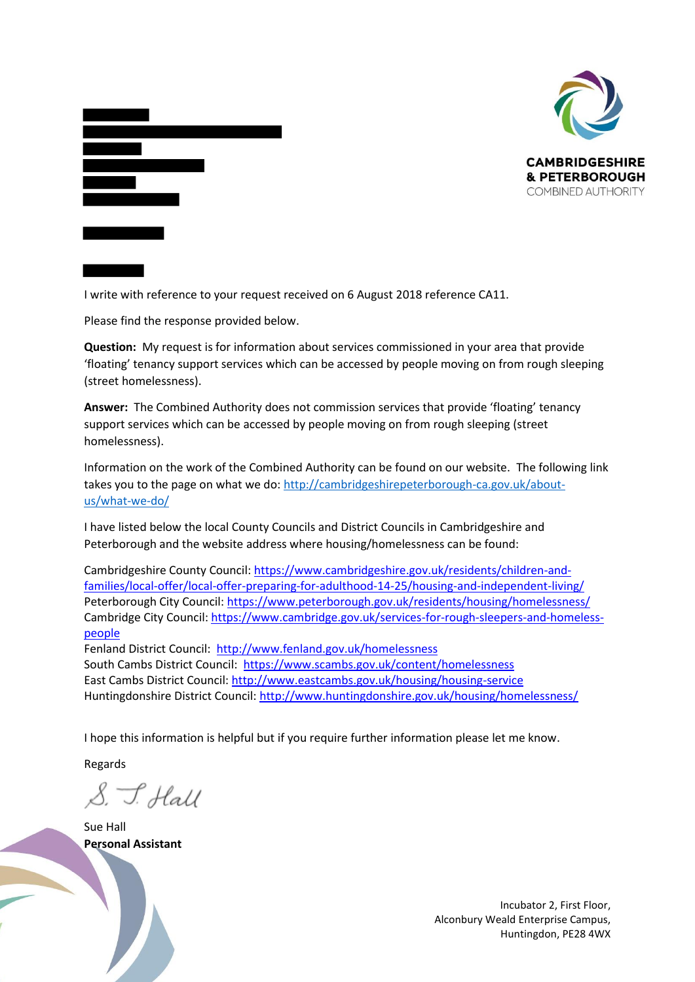



I write with reference to your request received on 6 August 2018 reference CA11.

Please find the response provided below.

**Question:** My request is for information about services commissioned in your area that provide 'floating' tenancy support services which can be accessed by people moving on from rough sleeping (street homelessness).

**Answer:** The Combined Authority does not commission services that provide 'floating' tenancy support services which can be accessed by people moving on from rough sleeping (street homelessness).

Information on the work of the Combined Authority can be found on our website. The following link takes you to the page on what we do: [http://cambridgeshirepeterborough-ca.gov.uk/about](http://cambridgeshirepeterborough-ca.gov.uk/about-us/what-we-do/)[us/what-we-do/](http://cambridgeshirepeterborough-ca.gov.uk/about-us/what-we-do/)

I have listed below the local County Councils and District Councils in Cambridgeshire and Peterborough and the website address where housing/homelessness can be found:

Cambridgeshire County Council[: https://www.cambridgeshire.gov.uk/residents/children-and](https://www.cambridgeshire.gov.uk/residents/children-and-families/local-offer/local-offer-preparing-for-adulthood-14-25/housing-and-independent-living/)[families/local-offer/local-offer-preparing-for-adulthood-14-25/housing-and-independent-living/](https://www.cambridgeshire.gov.uk/residents/children-and-families/local-offer/local-offer-preparing-for-adulthood-14-25/housing-and-independent-living/) Peterborough City Council[: https://www.peterborough.gov.uk/residents/housing/homelessness/](https://www.peterborough.gov.uk/residents/housing/homelessness/) Cambridge City Council: [https://www.cambridge.gov.uk/services-for-rough-sleepers-and-homeless](https://www.cambridge.gov.uk/services-for-rough-sleepers-and-homeless-people)[people](https://www.cambridge.gov.uk/services-for-rough-sleepers-and-homeless-people)

Fenland District Council:<http://www.fenland.gov.uk/homelessness> South Cambs District Council: <https://www.scambs.gov.uk/content/homelessness> East Cambs District Council:<http://www.eastcambs.gov.uk/housing/housing-service> Huntingdonshire District Council:<http://www.huntingdonshire.gov.uk/housing/homelessness/>

I hope this information is helpful but if you require further information please let me know.

Regards

S. J. Hall

Sue Hall **Personal Assistant**

Incubator 2, First Floor, Alconbury Weald Enterprise Campus, Huntingdon, PE28 4WX